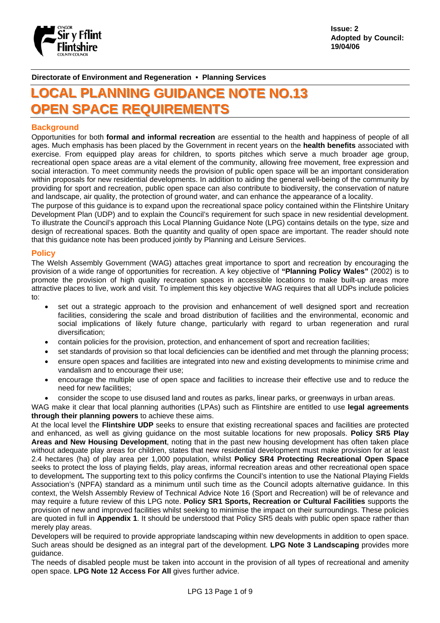

**Issue: 2 Adopted by Council: 19/04/06** 

**Directorate of Environment and Regeneration • Planning Services**

# **LOCAL PLANNING GUIDANCE NOTE NO.13 OOPPEENN SSPPAACCEE RREEQQUUIIRREEMMEENNTTSS**

#### **Background**

Opportunities for both **formal and informal recreation** are essential to the health and happiness of people of all ages. Much emphasis has been placed by the Government in recent years on the **health benefits** associated with exercise. From equipped play areas for children, to sports pitches which serve a much broader age group, recreational open space areas are a vital element of the community, allowing free movement, free expression and social interaction. To meet community needs the provision of public open space will be an important consideration within proposals for new residential developments. In addition to aiding the general well-being of the community by providing for sport and recreation, public open space can also contribute to biodiversity, the conservation of nature and landscape, air quality, the protection of ground water, and can enhance the appearance of a locality.

The purpose of this guidance is to expand upon the recreational space policy contained within the Flintshire Unitary Development Plan (UDP) and to explain the Council's requirement for such space in new residential development. To illustrate the Council's approach this Local Planning Guidance Note (LPG) contains details on the type, size and design of recreational spaces. Both the quantity and quality of open space are important. The reader should note that this guidance note has been produced jointly by Planning and Leisure Services.

#### **Policy**

The Welsh Assembly Government (WAG) attaches great importance to sport and recreation by encouraging the provision of a wide range of opportunities for recreation. A key objective of **"Planning Policy Wales"** (2002) is to promote the provision of high quality recreation spaces in accessible locations to make built-up areas more attractive places to live, work and visit. To implement this key objective WAG requires that all UDPs include policies to:

- set out a strategic approach to the provision and enhancement of well designed sport and recreation facilities, considering the scale and broad distribution of facilities and the environmental, economic and social implications of likely future change, particularly with regard to urban regeneration and rural diversification;
- contain policies for the provision, protection, and enhancement of sport and recreation facilities;
- set standards of provision so that local deficiencies can be identified and met through the planning process;
- ensure open spaces and facilities are integrated into new and existing developments to minimise crime and vandalism and to encourage their use;
- encourage the multiple use of open space and facilities to increase their effective use and to reduce the need for new facilities;
- consider the scope to use disused land and routes as parks, linear parks, or greenways in urban areas.

WAG make it clear that local planning authorities (LPAs) such as Flintshire are entitled to use **legal agreements through their planning powers** to achieve these aims.

At the local level the **Flintshire UDP** seeks to ensure that existing recreational spaces and facilities are protected and enhanced, as well as giving guidance on the most suitable locations for new proposals. **Policy SR5 Play Areas and New Housing Development**, noting that in the past new housing development has often taken place without adequate play areas for children, states that new residential development must make provision for at least 2.4 hectares (ha) of play area per 1,000 population, whilst **Policy SR4 Protecting Recreational Open Space** seeks to protect the loss of playing fields, play areas, informal recreation areas and other recreational open space to development**.** The supporting text to this policy confirms the Council's intention to use the National Playing Fields Association's (NPFA) standard as a minimum until such time as the Council adopts alternative guidance. In this context, the Welsh Assembly Review of Technical Advice Note 16 (Sport and Recreation) will be of relevance and may require a future review of this LPG note. **Policy SR1 Sports, Recreation or Cultural Facilities** supports the provision of new and improved facilities whilst seeking to minimise the impact on their surroundings. These policies are quoted in full in **Appendix 1**. It should be understood that Policy SR5 deals with public open space rather than merely play areas.

Developers will be required to provide appropriate landscaping within new developments in addition to open space. Such areas should be designed as an integral part of the development. **LPG Note 3 Landscaping** provides more guidance.

The needs of disabled people must be taken into account in the provision of all types of recreational and amenity open space. **LPG Note 12 Access For All** gives further advice.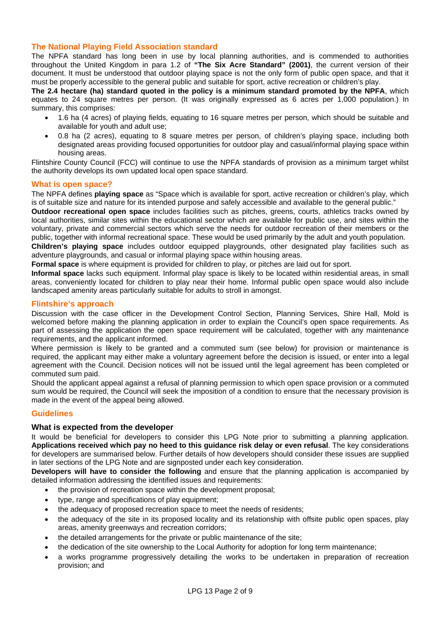# **The National Playing Field Association standard**

The NPFA standard has long been in use by local planning authorities, and is commended to authorities throughout the United Kingdom in para 1.2 of **"The Six Acre Standard" (2001)**, the current version of their document. It must be understood that outdoor playing space is not the only form of public open space, and that it must be properly accessible to the general public and suitable for sport, active recreation or children's play.

**The 2.4 hectare (ha) standard quoted in the policy is a minimum standard promoted by the NPFA**, which equates to 24 square metres per person. (It was originally expressed as 6 acres per 1,000 population.) In summary, this comprises:

- 1.6 ha (4 acres) of playing fields, equating to 16 square metres per person, which should be suitable and available for youth and adult use;
- 0.8 ha (2 acres), equating to 8 square metres per person, of children's playing space, including both designated areas providing focused opportunities for outdoor play and casual/informal playing space within housing areas.

Flintshire County Council (FCC) will continue to use the NPFA standards of provision as a minimum target whilst the authority develops its own updated local open space standard.

#### **What is open space?**

The NPFA defines **playing space** as "Space which is available for sport, active recreation or children's play, which is of suitable size and nature for its intended purpose and safely accessible and available to the general public."

**Outdoor recreational open space** includes facilities such as pitches, greens, courts, athletics tracks owned by local authorities, similar sites within the educational sector which are available for public use, and sites within the voluntary, private and commercial sectors which serve the needs for outdoor recreation of their members or the public, together with informal recreational space. These would be used primarily by the adult and youth population.

**Children's playing space** includes outdoor equipped playgrounds, other designated play facilities such as adventure playgrounds, and casual or informal playing space within housing areas.

**Formal space** is where equipment is provided for children to play, or pitches are laid out for sport.

**Informal space** lacks such equipment. Informal play space is likely to be located within residential areas, in small areas, conveniently located for children to play near their home. Informal public open space would also include landscaped amenity areas particularly suitable for adults to stroll in amongst.

#### **Flintshire's approach**

Discussion with the case officer in the Development Control Section, Planning Services, Shire Hall, Mold is welcomed before making the planning application in order to explain the Council's open space requirements. As part of assessing the application the open space requirement will be calculated, together with any maintenance requirements, and the applicant informed.

Where permission is likely to be granted and a commuted sum (see below) for provision or maintenance is required, the applicant may either make a voluntary agreement before the decision is issued, or enter into a legal agreement with the Council. Decision notices will not be issued until the legal agreement has been completed or commuted sum paid.

Should the applicant appeal against a refusal of planning permission to which open space provision or a commuted sum would be required, the Council will seek the imposition of a condition to ensure that the necessary provision is made in the event of the appeal being allowed.

#### **Guidelines**

#### **What is expected from the developer**

It would be beneficial for developers to consider this LPG Note prior to submitting a planning application. **Applications received which pay no heed to this guidance risk delay or even refusal**. The key considerations for developers are summarised below. Further details of how developers should consider these issues are supplied in later sections of the LPG Note and are signposted under each key consideration.

**Developers will have to consider the following** and ensure that the planning application is accompanied by detailed information addressing the identified issues and requirements:

- the provision of recreation space within the development proposal;
- type, range and specifications of play equipment:
- the adequacy of proposed recreation space to meet the needs of residents;
- the adequacy of the site in its proposed locality and its relationship with offsite public open spaces, play areas, amenity greenways and recreation corridors;
- the detailed arrangements for the private or public maintenance of the site;
- the dedication of the site ownership to the Local Authority for adoption for long term maintenance;
- a works programme progressively detailing the works to be undertaken in preparation of recreation provision; and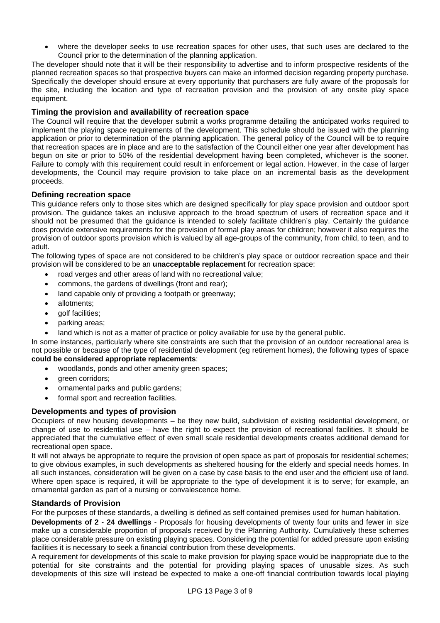• where the developer seeks to use recreation spaces for other uses, that such uses are declared to the Council prior to the determination of the planning application.

The developer should note that it will be their responsibility to advertise and to inform prospective residents of the planned recreation spaces so that prospective buyers can make an informed decision regarding property purchase. Specifically the developer should ensure at every opportunity that purchasers are fully aware of the proposals for the site, including the location and type of recreation provision and the provision of any onsite play space equipment.

# **Timing the provision and availability of recreation space**

The Council will require that the developer submit a works programme detailing the anticipated works required to implement the playing space requirements of the development. This schedule should be issued with the planning application or prior to determination of the planning application. The general policy of the Council will be to require that recreation spaces are in place and are to the satisfaction of the Council either one year after development has begun on site or prior to 50% of the residential development having been completed, whichever is the sooner. Failure to comply with this requirement could result in enforcement or legal action. However, in the case of larger developments, the Council may require provision to take place on an incremental basis as the development proceeds.

## **Defining recreation space**

This guidance refers only to those sites which are designed specifically for play space provision and outdoor sport provision. The guidance takes an inclusive approach to the broad spectrum of users of recreation space and it should not be presumed that the guidance is intended to solely facilitate children's play. Certainly the guidance does provide extensive requirements for the provision of formal play areas for children; however it also requires the provision of outdoor sports provision which is valued by all age-groups of the community, from child, to teen, and to adult.

The following types of space are not considered to be children's play space or outdoor recreation space and their provision will be considered to be an **unacceptable replacement** for recreation space:

- road verges and other areas of land with no recreational value;
- commons, the gardens of dwellings (front and rear);
- land capable only of providing a footpath or greenway;
- allotments;
- golf facilities;
- parking areas;
- land which is not as a matter of practice or policy available for use by the general public.

In some instances, particularly where site constraints are such that the provision of an outdoor recreational area is not possible or because of the type of residential development (eg retirement homes), the following types of space **could be considered appropriate replacements**:

- woodlands, ponds and other amenity green spaces;
- green corridors:
- ornamental parks and public gardens;
- formal sport and recreation facilities.

## **Developments and types of provision**

Occupiers of new housing developments – be they new build, subdivision of existing residential development, or change of use to residential use – have the right to expect the provision of recreational facilities. It should be appreciated that the cumulative effect of even small scale residential developments creates additional demand for recreational open space.

It will not always be appropriate to require the provision of open space as part of proposals for residential schemes; to give obvious examples, in such developments as sheltered housing for the elderly and special needs homes. In all such instances, consideration will be given on a case by case basis to the end user and the efficient use of land. Where open space is required, it will be appropriate to the type of development it is to serve; for example, an ornamental garden as part of a nursing or convalescence home.

## **Standards of Provision**

For the purposes of these standards, a dwelling is defined as self contained premises used for human habitation.

**Developments of 2 - 24 dwellings** - Proposals for housing developments of twenty four units and fewer in size make up a considerable proportion of proposals received by the Planning Authority. Cumulatively these schemes place considerable pressure on existing playing spaces. Considering the potential for added pressure upon existing facilities it is necessary to seek a financial contribution from these developments.

A requirement for developments of this scale to make provision for playing space would be inappropriate due to the potential for site constraints and the potential for providing playing spaces of unusable sizes. As such developments of this size will instead be expected to make a one-off financial contribution towards local playing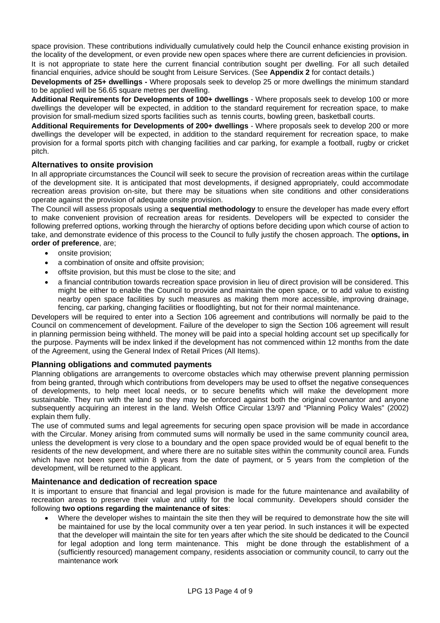space provision. These contributions individually cumulatively could help the Council enhance existing provision in the locality of the development, or even provide new open spaces where there are current deficiencies in provision.

It is not appropriate to state here the current financial contribution sought per dwelling. For all such detailed financial enquiries, advice should be sought from Leisure Services. (See **Appendix 2** for contact details.)

**Developments of 25+ dwellings -** Where proposals seek to develop 25 or more dwellings the minimum standard to be applied will be 56.65 square metres per dwelling.

**Additional Requirements for Developments of 100+ dwellings** - Where proposals seek to develop 100 or more dwellings the developer will be expected, in addition to the standard requirement for recreation space, to make provision for small-medium sized sports facilities such as tennis courts, bowling green, basketball courts.

**Additional Requirements for Developments of 200+ dwellings** - Where proposals seek to develop 200 or more dwellings the developer will be expected, in addition to the standard requirement for recreation space, to make provision for a formal sports pitch with changing facilities and car parking, for example a football, rugby or cricket pitch.

# **Alternatives to onsite provision**

In all appropriate circumstances the Council will seek to secure the provision of recreation areas within the curtilage of the development site. It is anticipated that most developments, if designed appropriately, could accommodate recreation areas provision on-site, but there may be situations when site conditions and other considerations operate against the provision of adequate onsite provision.

The Council will assess proposals using a **sequential methodology** to ensure the developer has made every effort to make convenient provision of recreation areas for residents. Developers will be expected to consider the following preferred options, working through the hierarchy of options before deciding upon which course of action to take, and demonstrate evidence of this process to the Council to fully justify the chosen approach. The **options, in order of preference**, are;

- onsite provision;
- a combination of onsite and offsite provision;
- offsite provision, but this must be close to the site; and
- a financial contribution towards recreation space provision in lieu of direct provision will be considered. This might be either to enable the Council to provide and maintain the open space, or to add value to existing nearby open space facilities by such measures as making them more accessible, improving drainage, fencing, car parking, changing facilities or floodlighting, but not for their normal maintenance.

Developers will be required to enter into a Section 106 agreement and contributions will normally be paid to the Council on commencement of development. Failure of the developer to sign the Section 106 agreement will result in planning permission being withheld. The money will be paid into a special holding account set up specifically for the purpose. Payments will be index linked if the development has not commenced within 12 months from the date of the Agreement, using the General Index of Retail Prices (All Items).

## **Planning obligations and commuted payments**

Planning obligations are arrangements to overcome obstacles which may otherwise prevent planning permission from being granted, through which contributions from developers may be used to offset the negative consequences of developments, to help meet local needs, or to secure benefits which will make the development more sustainable. They run with the land so they may be enforced against both the original covenantor and anyone subsequently acquiring an interest in the land. Welsh Office Circular 13/97 and "Planning Policy Wales" (2002) explain them fully.

The use of commuted sums and legal agreements for securing open space provision will be made in accordance with the Circular. Money arising from commuted sums will normally be used in the same community council area, unless the development is very close to a boundary and the open space provided would be of equal benefit to the residents of the new development, and where there are no suitable sites within the community council area. Funds which have not been spent within 8 years from the date of payment, or 5 years from the completion of the development, will be returned to the applicant.

#### **Maintenance and dedication of recreation space**

It is important to ensure that financial and legal provision is made for the future maintenance and availability of recreation areas to preserve their value and utility for the local community. Developers should consider the following **two options regarding the maintenance of sites**:

• Where the developer wishes to maintain the site then they will be required to demonstrate how the site will be maintained for use by the local community over a ten year period. In such instances it will be expected that the developer will maintain the site for ten years after which the site should be dedicated to the Council for legal adoption and long term maintenance. This might be done through the establishment of a (sufficiently resourced) management company, residents association or community council, to carry out the maintenance work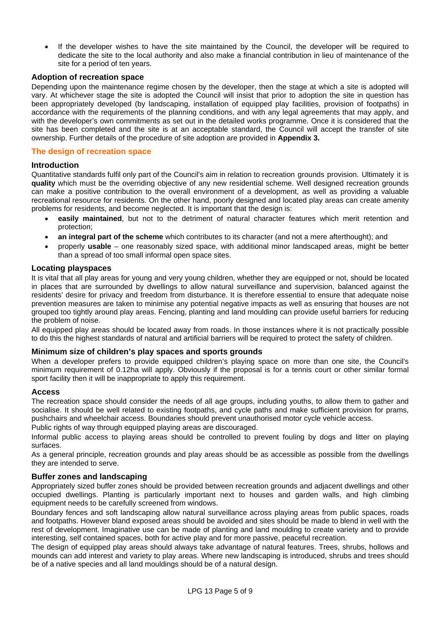• If the developer wishes to have the site maintained by the Council, the developer will be required to dedicate the site to the local authority and also make a financial contribution in lieu of maintenance of the site for a period of ten years.

# **Adoption of recreation space**

Depending upon the maintenance regime chosen by the developer, then the stage at which a site is adopted will vary. At whichever stage the site is adopted the Council will insist that prior to adoption the site in question has been appropriately developed (by landscaping, installation of equipped play facilities, provision of footpaths) in accordance with the requirements of the planning conditions, and with any legal agreements that may apply, and with the developer's own commitments as set out in the detailed works programme. Once it is considered that the site has been completed and the site is at an acceptable standard, the Council will accept the transfer of site ownership. Further details of the procedure of site adoption are provided in **Appendix 3.** 

# **The design of recreation space**

## **Introduction**

Quantitative standards fulfil only part of the Council's aim in relation to recreation grounds provision. Ultimately it is **quality** which must be the overriding objective of any new residential scheme. Well designed recreation grounds can make a positive contribution to the overall environment of a development, as well as providing a valuable recreational resource for residents. On the other hand, poorly designed and located play areas can create amenity problems for residents, and become neglected. It is important that the design is:

- **easily maintained**, but not to the detriment of natural character features which merit retention and protection;
- **an integral part of the scheme** which contributes to its character (and not a mere afterthought); and
- properly **usable** one reasonably sized space, with additional minor landscaped areas, might be better than a spread of too small informal open space sites.

## **Locating playspaces**

It is vital that all play areas for young and very young children, whether they are equipped or not, should be located in places that are surrounded by dwellings to allow natural surveillance and supervision, balanced against the residents' desire for privacy and freedom from disturbance. It is therefore essential to ensure that adequate noise prevention measures are taken to minimise any potential negative impacts as well as ensuring that houses are not grouped too tightly around play areas. Fencing, planting and land moulding can provide useful barriers for reducing the problem of noise.

All equipped play areas should be located away from roads. In those instances where it is not practically possible to do this the highest standards of natural and artificial barriers will be required to protect the safety of children.

## **Minimum size of children's play spaces and sports grounds**

When a developer prefers to provide equipped children's playing space on more than one site, the Council's minimum requirement of 0.12ha will apply. Obviously if the proposal is for a tennis court or other similar formal sport facility then it will be inappropriate to apply this requirement.

## **Access**

The recreation space should consider the needs of all age groups, including youths, to allow them to gather and socialise. It should be well related to existing footpaths, and cycle paths and make sufficient provision for prams, pushchairs and wheelchair access. Boundaries should prevent unauthorised motor cycle vehicle access.

Public rights of way through equipped playing areas are discouraged.

Informal public access to playing areas should be controlled to prevent fouling by dogs and litter on playing surfaces.

As a general principle, recreation grounds and play areas should be as accessible as possible from the dwellings they are intended to serve.

## **Buffer zones and landscaping**

Appropriately sized buffer zones should be provided between recreation grounds and adjacent dwellings and other occupied dwellings. Planting is particularly important next to houses and garden walls, and high climbing equipment needs to be carefully screened from windows.

Boundary fences and soft landscaping allow natural surveillance across playing areas from public spaces, roads and footpaths. However bland exposed areas should be avoided and sites should be made to blend in well with the rest of development. Imaginative use can be made of planting and land moulding to create variety and to provide interesting, self contained spaces, both for active play and for more passive, peaceful recreation.

The design of equipped play areas should always take advantage of natural features. Trees, shrubs, hollows and mounds can add interest and variety to play areas. Where new landscaping is introduced, shrubs and trees should be of a native species and all land mouldings should be of a natural design.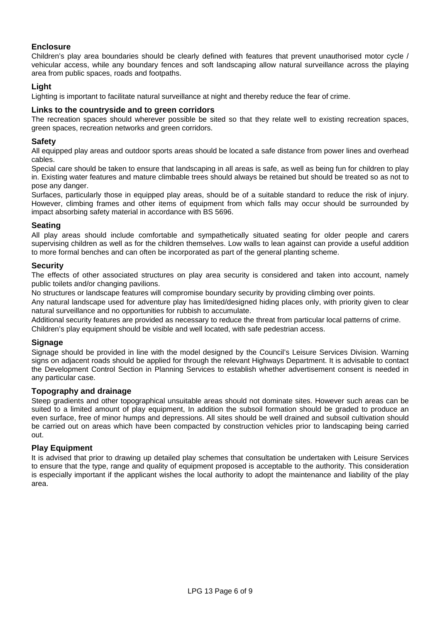# **Enclosure**

Children's play area boundaries should be clearly defined with features that prevent unauthorised motor cycle / vehicular access, while any boundary fences and soft landscaping allow natural surveillance across the playing area from public spaces, roads and footpaths.

## **Light**

Lighting is important to facilitate natural surveillance at night and thereby reduce the fear of crime.

## **Links to the countryside and to green corridors**

The recreation spaces should wherever possible be sited so that they relate well to existing recreation spaces, green spaces, recreation networks and green corridors.

#### **Safety**

All equipped play areas and outdoor sports areas should be located a safe distance from power lines and overhead cables.

Special care should be taken to ensure that landscaping in all areas is safe, as well as being fun for children to play in. Existing water features and mature climbable trees should always be retained but should be treated so as not to pose any danger.

Surfaces, particularly those in equipped play areas, should be of a suitable standard to reduce the risk of injury. However, climbing frames and other items of equipment from which falls may occur should be surrounded by impact absorbing safety material in accordance with BS 5696.

## **Seating**

All play areas should include comfortable and sympathetically situated seating for older people and carers supervising children as well as for the children themselves. Low walls to lean against can provide a useful addition to more formal benches and can often be incorporated as part of the general planting scheme.

#### **Security**

The effects of other associated structures on play area security is considered and taken into account, namely public toilets and/or changing pavilions.

No structures or landscape features will compromise boundary security by providing climbing over points.

Any natural landscape used for adventure play has limited/designed hiding places only, with priority given to clear natural surveillance and no opportunities for rubbish to accumulate.

Additional security features are provided as necessary to reduce the threat from particular local patterns of crime.

Children's play equipment should be visible and well located, with safe pedestrian access.

## **Signage**

Signage should be provided in line with the model designed by the Council's Leisure Services Division. Warning signs on adjacent roads should be applied for through the relevant Highways Department. It is advisable to contact the Development Control Section in Planning Services to establish whether advertisement consent is needed in any particular case.

#### **Topography and drainage**

Steep gradients and other topographical unsuitable areas should not dominate sites. However such areas can be suited to a limited amount of play equipment, In addition the subsoil formation should be graded to produce an even surface, free of minor humps and depressions. All sites should be well drained and subsoil cultivation should be carried out on areas which have been compacted by construction vehicles prior to landscaping being carried out.

## **Play Equipment**

It is advised that prior to drawing up detailed play schemes that consultation be undertaken with Leisure Services to ensure that the type, range and quality of equipment proposed is acceptable to the authority. This consideration is especially important if the applicant wishes the local authority to adopt the maintenance and liability of the play area.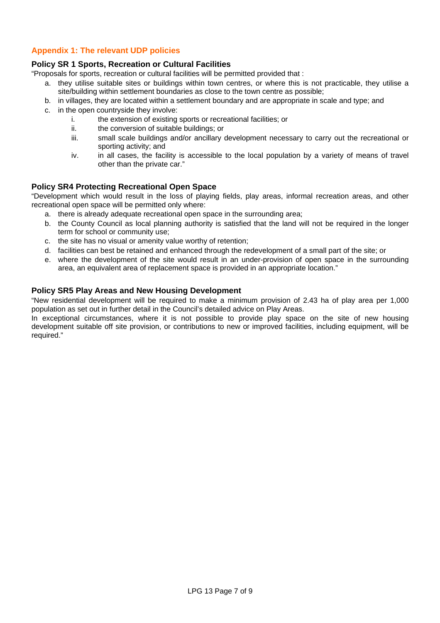# **Appendix 1: The relevant UDP policies**

# **Policy SR 1 Sports, Recreation or Cultural Facilities**

"Proposals for sports, recreation or cultural facilities will be permitted provided that :

- a. they utilise suitable sites or buildings within town centres, or where this is not practicable, they utilise a site/building within settlement boundaries as close to the town centre as possible;
- b. in villages, they are located within a settlement boundary and are appropriate in scale and type; and
- c. in the open countryside they involve:
	- i. the extension of existing sports or recreational facilities; or
	- ii. the conversion of suitable buildings; or
	- iii. small scale buildings and/or ancillary development necessary to carry out the recreational or sporting activity; and
	- iv. in all cases, the facility is accessible to the local population by a variety of means of travel other than the private car."

# **Policy SR4 Protecting Recreational Open Space**

"Development which would result in the loss of playing fields, play areas, informal recreation areas, and other recreational open space will be permitted only where:

- a. there is already adequate recreational open space in the surrounding area;
- b. the County Council as local planning authority is satisfied that the land will not be required in the longer term for school or community use;
- c. the site has no visual or amenity value worthy of retention;
- d. facilities can best be retained and enhanced through the redevelopment of a small part of the site; or
- e. where the development of the site would result in an under-provision of open space in the surrounding area, an equivalent area of replacement space is provided in an appropriate location."

# **Policy SR5 Play Areas and New Housing Development**

"New residential development will be required to make a minimum provision of 2.43 ha of play area per 1,000 population as set out in further detail in the Council's detailed advice on Play Areas.

In exceptional circumstances, where it is not possible to provide play space on the site of new housing development suitable off site provision, or contributions to new or improved facilities, including equipment, will be required."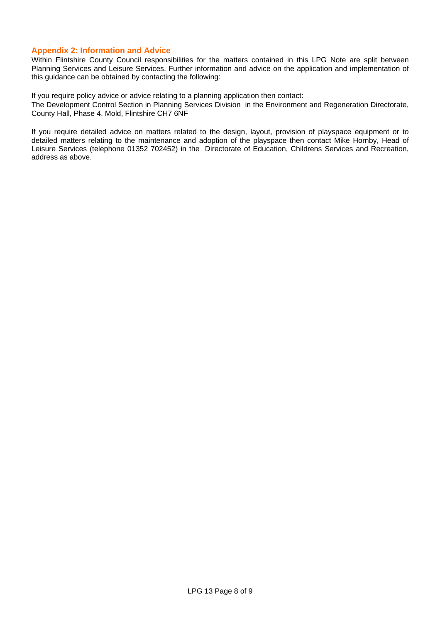# **Appendix 2: Information and Advice**

Within Flintshire County Council responsibilities for the matters contained in this LPG Note are split between Planning Services and Leisure Services. Further information and advice on the application and implementation of this guidance can be obtained by contacting the following:

If you require policy advice or advice relating to a planning application then contact: The Development Control Section in Planning Services Division in the Environment and Regeneration Directorate, County Hall, Phase 4, Mold, Flintshire CH7 6NF

If you require detailed advice on matters related to the design, layout, provision of playspace equipment or to detailed matters relating to the maintenance and adoption of the playspace then contact Mike Hornby, Head of Leisure Services (telephone 01352 702452) in the Directorate of Education, Childrens Services and Recreation, address as above.